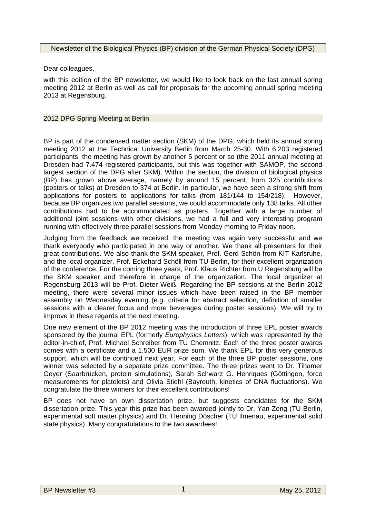## Newsletter of the Biological Physics (BP) division of the German Physical Society (DPG)

Dear colleagues,

with this edition of the BP newsletter, we would like to look back on the last annual spring meeting 2012 at Berlin as well as call for proposals for the upcoming annual spring meeting 2013 at Regensburg.

## 2012 DPG Spring Meeting at Berlin

BP is part of the condensed matter section (SKM) of the DPG, which held its annual spring meeting 2012 at the Technical University Berlin from March 25-30. With 6.203 registered participants, the meeting has grown by another 5 percent or so (the 2011 annual meeting at Dresden had 7.474 registered participants, but this was together with SAMOP, the second largest section of the DPG after SKM). Within the section, the division of biological physics (BP) has grown above average, namely by around 15 percent, from 325 contributions (posters or talks) at Dresden to 374 at Berlin. In particular, we have seen a strong shift from applications for posters to applications for talks (from 181/144 to 154/218). However, because BP organizes two parallel sessions, we could accommodate only 138 talks. All other contributions had to be accommodated as posters. Together with a large number of additional joint sessions with other divisions, we had a full and very interesting program running with effectively three parallel sessions from Monday morning to Friday noon.

Judging from the feedback we received, the meeting was again very successful and we thank everybody who participated in one way or another. We thank all presenters for their great contributions. We also thank the SKM speaker, Prof. Gerd Schön from KIT Karlsruhe, and the local organizer, Prof. Eckehard Schöll from TU Berlin, for their excellent organization of the conference. For the coming three years, Prof. Klaus Richter from U Regensburg will be the SKM speaker and therefore in charge of the organization. The local organizer at Regensburg 2013 will be Prof. Dieter Weiß. Regarding the BP sessions at the Berlin 2012 meeting, there were several minor issues which have been raised in the BP member assembly on Wednesday evening (e.g. criteria for abstract selection, definition of smaller sessions with a clearer focus and more beverages during poster sessions). We will try to improve in these regards at the next meeting.

One new element of the BP 2012 meeting was the introduction of three EPL poster awards sponsored by the journal EPL (formerly *Europhysics Letters*), which was represented by the editor-in-chief, Prof. Michael Schreiber from TU Chemnitz. Each of the three poster awards comes with a certificate and a 1.500 EUR prize sum. We thank EPL for this very generous support, which will be continued next year. For each of the three BP poster sessions, one winner was selected by a separate prize committee. The three prizes went to Dr. Tihamer Geyer (Saarbrücken, protein simulations), Sarah Schwarz G. Henriques (Göttingen, force measurements for platelets) and Olivia Stiehl (Bayreuth, kinetics of DNA fluctuations). We congratulate the three winners for their excellent contributions!

BP does not have an own dissertation prize, but suggests candidates for the SKM dissertation prize. This year this prize has been awarded jointly to Dr. Yan Zeng (TU Berlin, experimental soft matter physics) and Dr. Henning Döscher (TU Ilmenau, experimental solid state physics). Many congratulations to the two awardees!